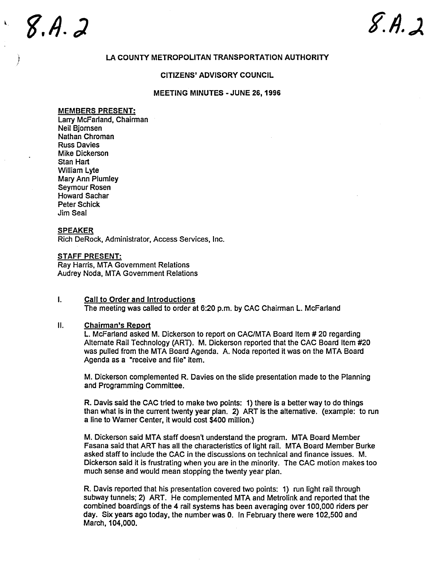# $8.4.2$

## LA COUNTY METROPOLITAN TRANSPORTATION AUTHORITY

## CITIZENS' ADVISORY COUNCIL

## MEETING MINUTES - JUNE 26, 1996

## MEMBERS PRESENT:

Larry McFarland, Chairman Neil Bjomsen Nathan Chroman Russ Davies Mike Dickerson Stan Hart William Lyte Mary Ann Plumley Seymour Rosen Howard Sachar Peter Schick Jim Seal

## **SPEAKER**

Rich DeRock, Administrator, Access Services, Inc.

## STAFF PRESENT:

Ray Harris, MTA Government Relations Audrey Noda, MTA Government Relations

### $\mathbf{L}$ Call to Order and Introductions The meeting was called to order at 6:20 p.m. by CAC Chairman L. McFarland

#### $II.$ **Chairman's Report**

L. McFarland asked M. Dickerson to report on CAC/MTA Board Item # 20 regarding Alternate Rail Technology (ART). M. Dickerson reported that the CAC Board Item #20 was pulled from the MTA Board Agenda. A. Noda reported it was on the MTA Board Agenda as a "receive and file" item.

M. Dickerson complemented R. Davies on the slide presentation made to the Planning and Programming Committee.

R. Davis said the CAC tried to make two points: 1) there is a better way to do things than what is in the current twenty year plan. 2) ART is the alternative. (example: to run a line to Warner Center, it would cost \$400 million.

M. Dickerson said MTA staff doesn t understand the program. MTA Board Member Fasana said that ART has all the characteristics of light rail. MTA Board Member Burke asked staff to include the CAC in the discussions on technical and finance issues. M. Dickerson said it is frustrating when you are in the minority. The CAC motion makes too much sense and would mean stopping the twenty year plan.

R. Davis reported that his presentation covered two points: 1) run light rail through subway tunnels; 2) ART. He complemented MTA and Metrolink and reported that the combined boardings of the 4 rail systems has been averaging over 100,000 riders per day. Six years ago today, the number was O. In February there were 102 500 and March, 104,000.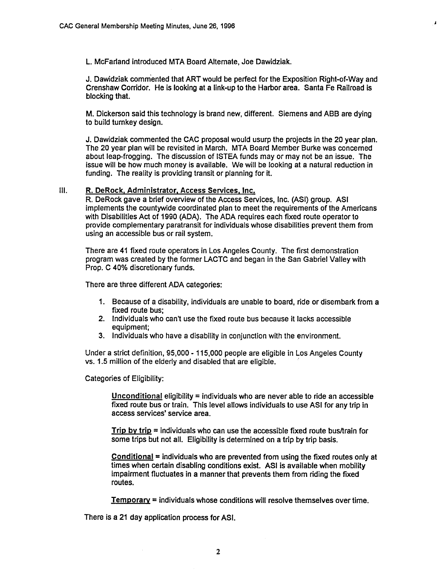L. McFarland introduced MTA Board Alternate, Joe Dawidziak.

J. Dawidziak commented that ART would be perfect for the Exposition Right-of-Way and Crenshaw Corridor. He is looking at a link-up to the Harbor area. Santa Fe Railroad is blocking that.

 $\boldsymbol{I}$ 

M. Dickerson said this technology is brand new, different. Siemens and ABB are dying to build turnkey design.

J. Dawidziak commented the CAC proposal would usurp the projects in the 20 year plan. The 20 year plan will be revisited in March. MTA Board Member Burke was concemed about leap-frogging. The discussion of ISTEA funds mayor may not be an issue. The issue will be how much money is available. We will be looking at a natural reduction in funding. The reality is providing transit or planning for it.

## III. R. DeRock, Administrator, Access Services, Inc.

R. DeRock gave a brief overview of the Access Services, Inc. (ASI) group. ASI implements the countywide coordinated plan to meet the requirements of the Americans with Disabilities Act of 1990 (ADA). The ADA requires each fixed route operator to provide complementary paratransit for individuals whose disabilities prevent them from using an accessible bus or rail system.

There are 41 fixed route operators in Los Angeles County. The first demonstration program was created by the former LACTC and began in the San Gabriel Valley with Prop. C 40% discretionary funds.

There are three different ADA categories:

- 1. Because of a disability, individuals are unable to board, ride or disembark from a
- fixed route bus;<br>2. Individuals who can't use the fixed route bus because it lacks accessible<br>equipment;
- 3. Individuals who have a disability in conjunction with the environment.

Under a strict definition, 95 000 - 115 000 people are eligible in Los Angeles County vs. 1.5 million of the elderly and disabled that are eligible.

Categories of Eligibility:

Unconditional eligibility  $=$  individuals who are never able to ride an accessible fixed route bus or train. This level allows individuals to use ASI for any trip in access services' service area.

Trip by trip  $=$  individuals who can use the accessible fixed route bus/train for some trips but not all. Eligibility is determined on a trip by trip basis.

 $Conditional = individuals$  who are prevented from using the fixed routes only at times when certain disabling conditions exist. ASI is available when mobility impairment fluctuates in a manner that prevents them from riding the fixed routes.

 $$ 

There is a 21 day application process for ASI.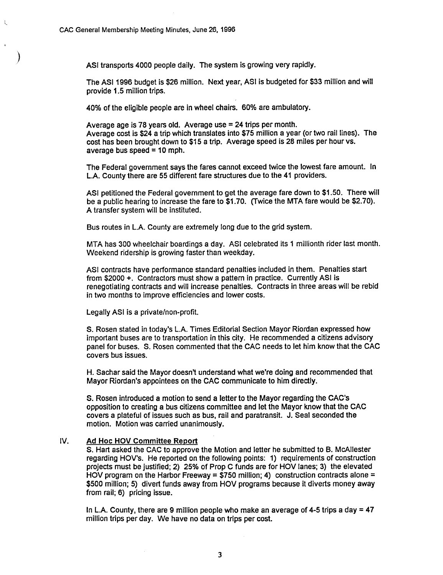Á,

ASI transports 4000 people daily. The system is growing very rapidly.

The ASI1996 budget is \$26 million. Next year, ASI is budgeted for \$33 million and will provide 1.5 million trips.

40% of the eligible people are in wheel chairs. 60% are ambulatory.

Average age is 78 years old. Average use = 24 trips per month. Average cost is \$24 a trip which translates into \$75 million a year (or two rail lines). The cost has been brought down to \$15 a trip. Average speed is 28 miles per hour vs. average bus speed  $= 10$  mph.

The Federal government says the fares cannot exceed twice the lowest fare amount. In LA. County there are 55 different fare structures due to the 41 providers.

ASI petitioned the Federal government to get the average fare down to \$1.50. There will be a public hearing to increase the fare to \$1.70. (Twice the MTA fare would be \$2.70). A transfer system will be instituted.

Bus routes in LA. County are extremely long due to the grid system.

MTA has 300 wheelchair boardings a day. ASI celebrated its 1 millionth rider last month. Weekend ridership is growing faster than weekday.

ASI contracts have performance standard penalties included in them. Penalties start from \$2000 +. Contractors must show a pattern in practice. Currently ASI is renegotiating contracts and will increase penalties. Contracts in three areas will be rebid in two months to improve efficiencies and lower costs.

Legally ASI is a private/non-profit.

S. Rosen stated in today's L.A. Times Editorial Section Mayor Riordan expressed how important buses are to transportation in this city. He recommended a citizens advisory panel for buses. S. Rosen commented that the CAC needs to let him know that the CAC covers bus issues.

H. Sachar said the Mayor doesn't understand what we're doing and recommended that Mayor Riordan's appointees on the CAC communicate to him directly.

S. Rosen introduced a motion to send a letter to the Mayor regarding the CAC' opposition to creating a bus citizens committee and let the Mayor know that the CAC covers a plateful of issues such as bus, rail and paratransit. J. Seal seconded the motion. Motion was carried unanimously.

## IV. Ad Hoc HOV Committee Report

S. Hart asked the CAC to approve the Motion and letter he submitted to B. McAliester regarding HOV's. He reported on the following points: 1) requirements of construction projects must be justified; 2) 25% of Prop C funds are for HOV lanes; 3) the elevated HOV program on the Harbor Freeway = \$750 million; 4) construction contracts alone = \$500 million; 5) divert funds away from HOV programs because it diverts money away from rail; 6) pricing issue.

In L.A. County, there are 9 million people who make an average of 4-5 trips a day  $= 47$ million trips per day. We have no data on trips per cost.